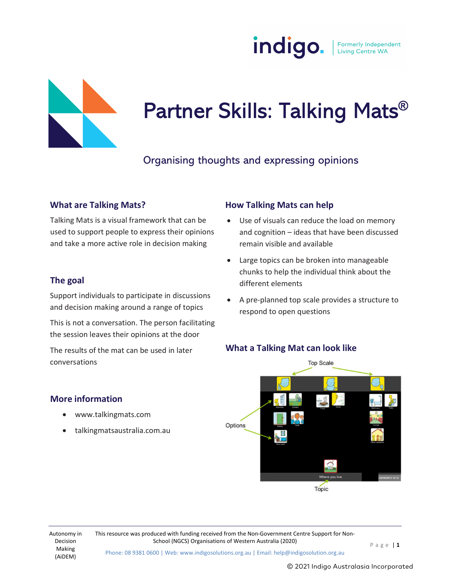



# Partner Skills: Talking Mats®<br><sub>Organising thoughts and expressing opinions</sub>

#### What are Talking Mats?

Talking Mats is a visual framework that can be  $\bullet$ used to support people to express their opinions and take a more active role in decision making

#### The goal

Support individuals to participate in discussions and decision making around a range of topics

This is not a conversation. The person facilitating the session leaves their opinions at the door

The results of the mat can be used in later conversations

#### More information

- www.talkingmats.com
- talkingmatsaustralia.com.au

#### How Talking Mats can help

- Use of visuals can reduce the load on memory and cognition – ideas that have been discussed remain visible and available
- Large topics can be broken into manageable chunks to help the individual think about the different elements
- A pre-planned top scale provides a structure to respond to open questions





Autonomy in This resource was produced with funding received from the Non-Government Centre Support for Non-

Phone: 08 9381 0600 | Web: www.indigosolutions.org.au | Email: help@indigosolution.org.au